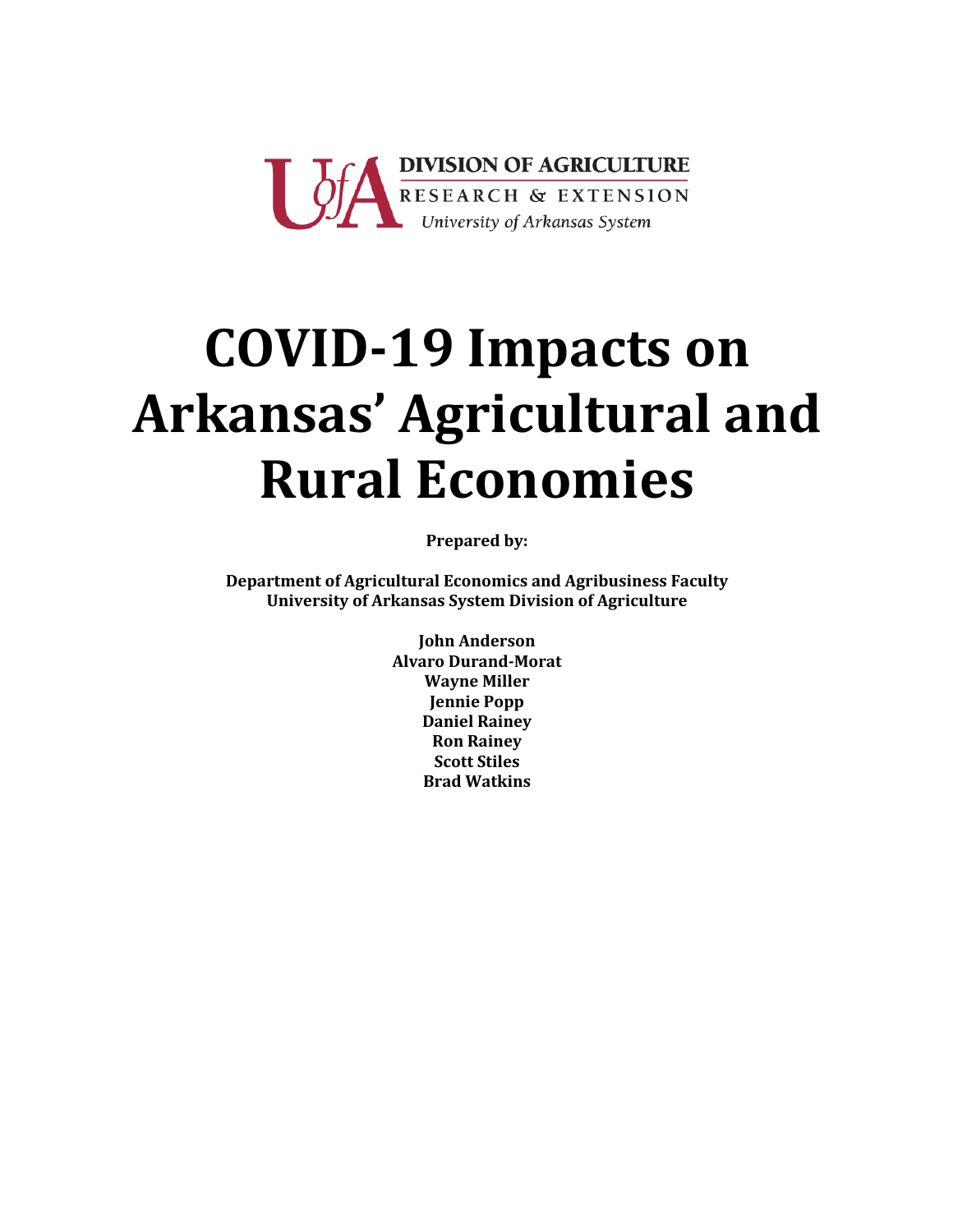

# **COVID-19 Impacts on** Arkansas' Agricultural and **Rural Economies**

**Prepared by:** 

Department of Agricultural Economics and Agribusiness Faculty **University of Arkansas System Division of Agriculture** 

> **John Anderson Alvaro Durand-Morat Wayne Miller Jennie Popp Daniel Rainey Ron Rainey Scott Stiles Brad Watkins**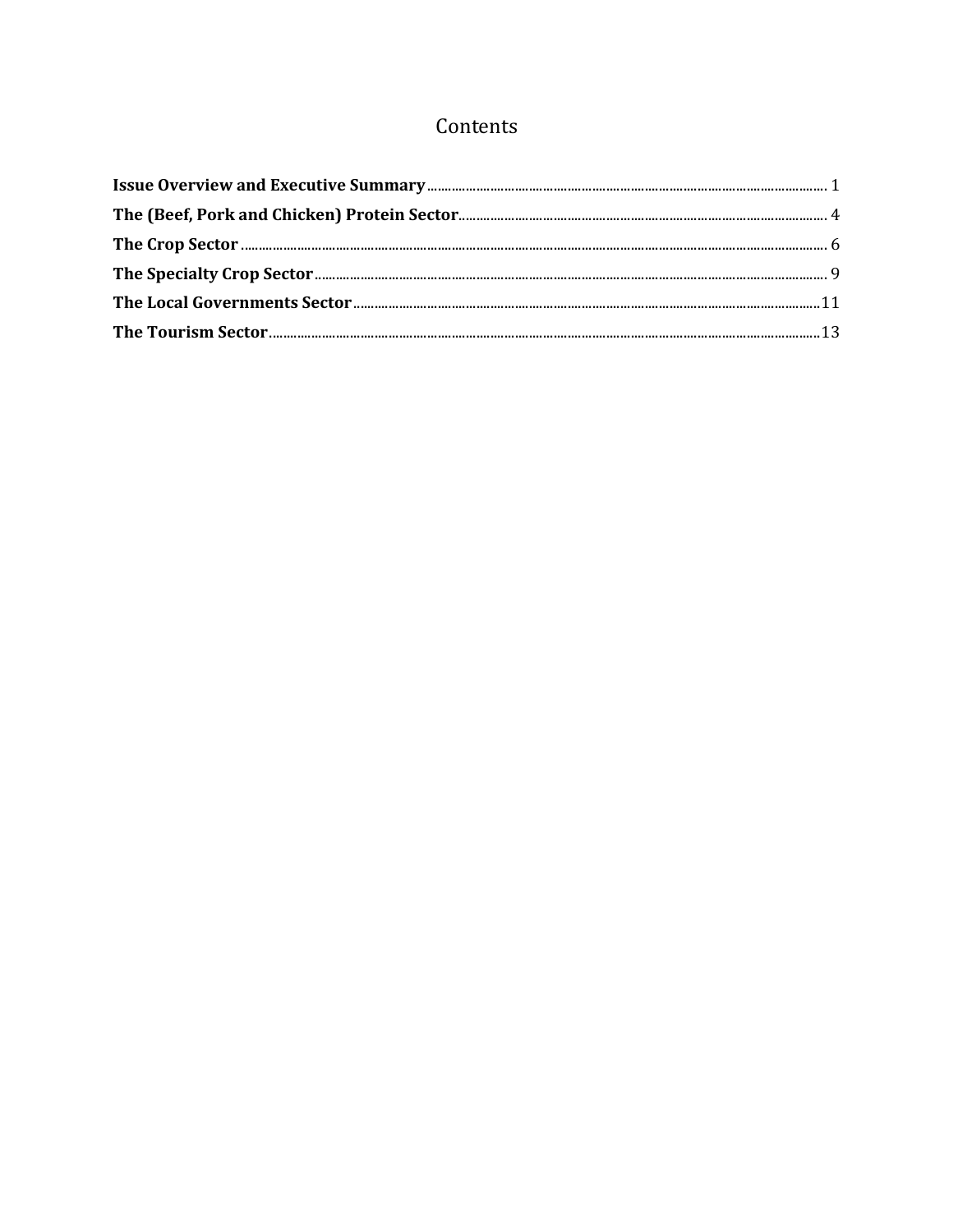# Contents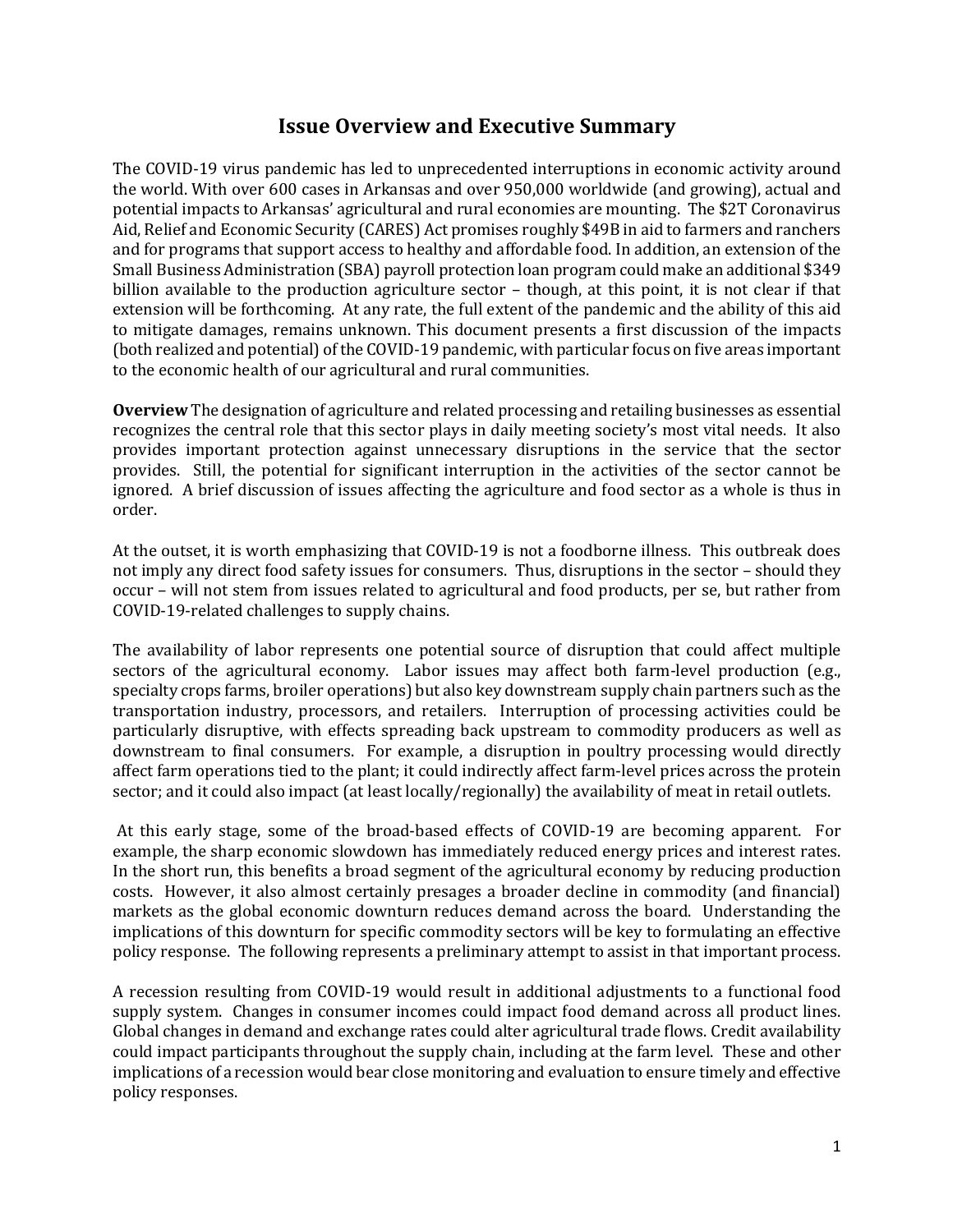## **Issue Overview and Executive Summary**

The COVID-19 virus pandemic has led to unprecedented interruptions in economic activity around the world. With over 600 cases in Arkansas and over 950,000 worldwide (and growing), actual and potential impacts to Arkansas' agricultural and rural economies are mounting. The \$2T Coronavirus Aid, Relief and Economic Security (CARES) Act promises roughly \$49B in aid to farmers and ranchers and for programs that support access to healthy and affordable food. In addition, an extension of the Small Business Administration (SBA) payroll protection loan program could make an additional \$349 billion available to the production agriculture sector  $-$  though, at this point, it is not clear if that extension will be forthcoming. At any rate, the full extent of the pandemic and the ability of this aid to mitigate damages, remains unknown. This document presents a first discussion of the impacts (both realized and potential) of the COVID-19 pandemic, with particular focus on five areas important to the economic health of our agricultural and rural communities.

**Overview** The designation of agriculture and related processing and retailing businesses as essential recognizes the central role that this sector plays in daily meeting society's most vital needs. It also provides important protection against unnecessary disruptions in the service that the sector provides. Still, the potential for significant interruption in the activities of the sector cannot be ignored. A brief discussion of issues affecting the agriculture and food sector as a whole is thus in order. 

At the outset, it is worth emphasizing that COVID-19 is not a foodborne illness. This outbreak does not imply any direct food safety issues for consumers. Thus, disruptions in the sector – should they occur - will not stem from issues related to agricultural and food products, per se, but rather from COVID-19-related challenges to supply chains.

The availability of labor represents one potential source of disruption that could affect multiple sectors of the agricultural economy. Labor issues may affect both farm-level production (e.g., specialty crops farms, broiler operations) but also key downstream supply chain partners such as the transportation industry, processors, and retailers. Interruption of processing activities could be particularly disruptive, with effects spreading back upstream to commodity producers as well as downstream to final consumers. For example, a disruption in poultry processing would directly affect farm operations tied to the plant; it could indirectly affect farm-level prices across the protein sector; and it could also impact (at least locally/regionally) the availability of meat in retail outlets.

At this early stage, some of the broad-based effects of COVID-19 are becoming apparent. For example, the sharp economic slowdown has immediately reduced energy prices and interest rates. In the short run, this benefits a broad segment of the agricultural economy by reducing production costs. However, it also almost certainly presages a broader decline in commodity (and financial) markets as the global economic downturn reduces demand across the board. Understanding the implications of this downturn for specific commodity sectors will be key to formulating an effective policy response. The following represents a preliminary attempt to assist in that important process.

A recession resulting from COVID-19 would result in additional adjustments to a functional food supply system. Changes in consumer incomes could impact food demand across all product lines. Global changes in demand and exchange rates could alter agricultural trade flows. Credit availability could impact participants throughout the supply chain, including at the farm level. These and other implications of a recession would bear close monitoring and evaluation to ensure timely and effective policy responses.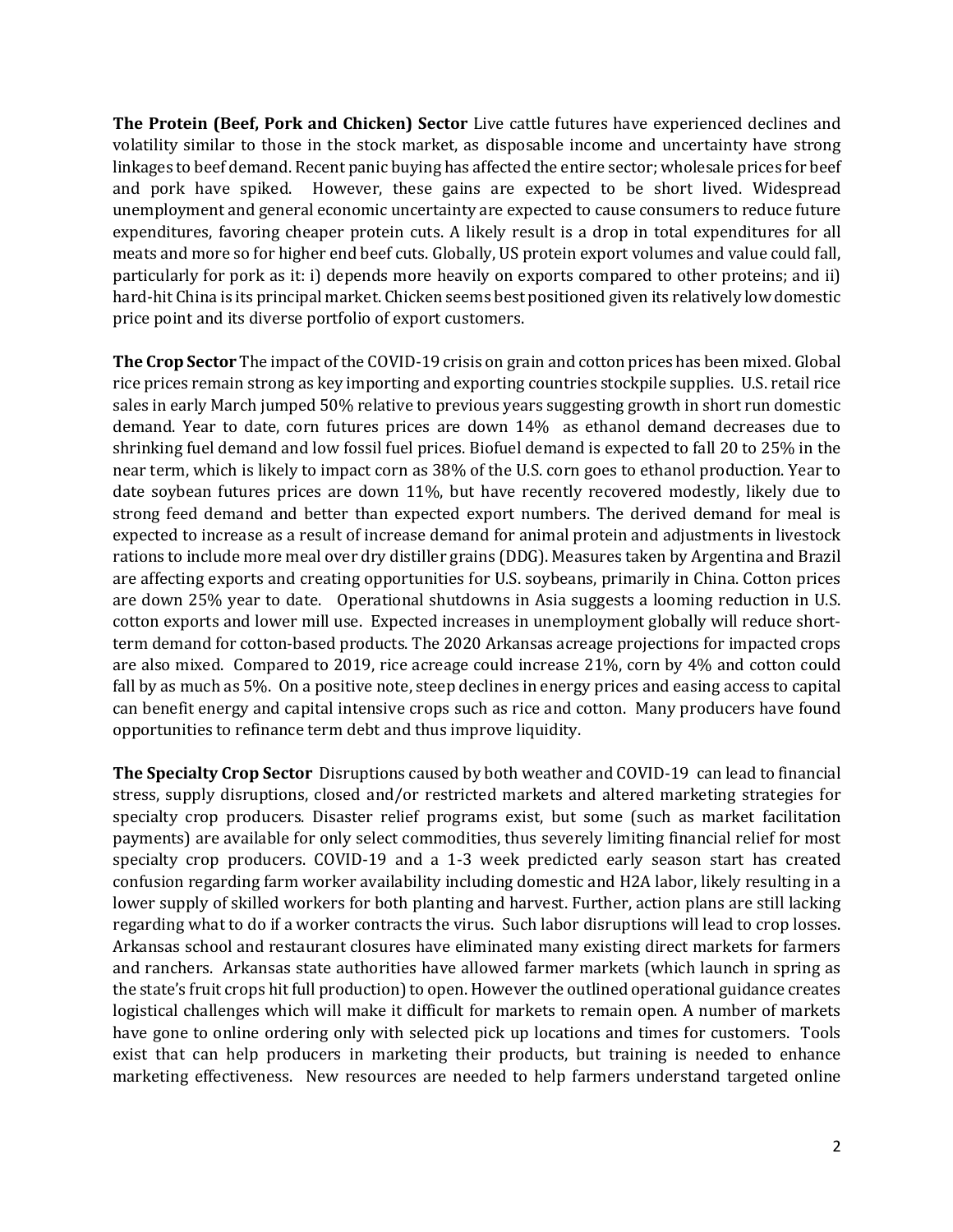**The Protein (Beef, Pork and Chicken) Sector** Live cattle futures have experienced declines and volatility similar to those in the stock market, as disposable income and uncertainty have strong linkages to beef demand. Recent panic buying has affected the entire sector; wholesale prices for beef and pork have spiked. However, these gains are expected to be short lived. Widespread unemployment and general economic uncertainty are expected to cause consumers to reduce future expenditures, favoring cheaper protein cuts. A likely result is a drop in total expenditures for all meats and more so for higher end beef cuts. Globally, US protein export volumes and value could fall, particularly for pork as it: i) depends more heavily on exports compared to other proteins; and ii) hard-hit China is its principal market. Chicken seems best positioned given its relatively low domestic price point and its diverse portfolio of export customers.

**The Crop Sector** The impact of the COVID-19 crisis on grain and cotton prices has been mixed. Global rice prices remain strong as key importing and exporting countries stockpile supplies. U.S. retail rice sales in early March jumped 50% relative to previous years suggesting growth in short run domestic demand. Year to date, corn futures prices are down 14% as ethanol demand decreases due to shrinking fuel demand and low fossil fuel prices. Biofuel demand is expected to fall 20 to 25% in the near term, which is likely to impact corn as 38% of the U.S. corn goes to ethanol production. Year to date soybean futures prices are down 11%, but have recently recovered modestly, likely due to strong feed demand and better than expected export numbers. The derived demand for meal is expected to increase as a result of increase demand for animal protein and adjustments in livestock rations to include more meal over dry distiller grains (DDG). Measures taken by Argentina and Brazil are affecting exports and creating opportunities for U.S. soybeans, primarily in China. Cotton prices are down 25% year to date. Operational shutdowns in Asia suggests a looming reduction in U.S. cotton exports and lower mill use. Expected increases in unemployment globally will reduce shortterm demand for cotton-based products. The 2020 Arkansas acreage projections for impacted crops are also mixed. Compared to 2019, rice acreage could increase 21%, corn by 4% and cotton could fall by as much as 5%. On a positive note, steep declines in energy prices and easing access to capital can benefit energy and capital intensive crops such as rice and cotton. Many producers have found opportunities to refinance term debt and thus improve liquidity.

**The Specialty Crop Sector** Disruptions caused by both weather and COVID-19 can lead to financial stress, supply disruptions, closed and/or restricted markets and altered marketing strategies for specialty crop producers. Disaster relief programs exist, but some (such as market facilitation payments) are available for only select commodities, thus severely limiting financial relief for most specialty crop producers. COVID-19 and a 1-3 week predicted early season start has created confusion regarding farm worker availability including domestic and H2A labor, likely resulting in a lower supply of skilled workers for both planting and harvest. Further, action plans are still lacking regarding what to do if a worker contracts the virus. Such labor disruptions will lead to crop losses. Arkansas school and restaurant closures have eliminated many existing direct markets for farmers and ranchers. Arkansas state authorities have allowed farmer markets (which launch in spring as the state's fruit crops hit full production) to open. However the outlined operational guidance creates logistical challenges which will make it difficult for markets to remain open. A number of markets have gone to online ordering only with selected pick up locations and times for customers. Tools exist that can help producers in marketing their products, but training is needed to enhance marketing effectiveness. New resources are needed to help farmers understand targeted online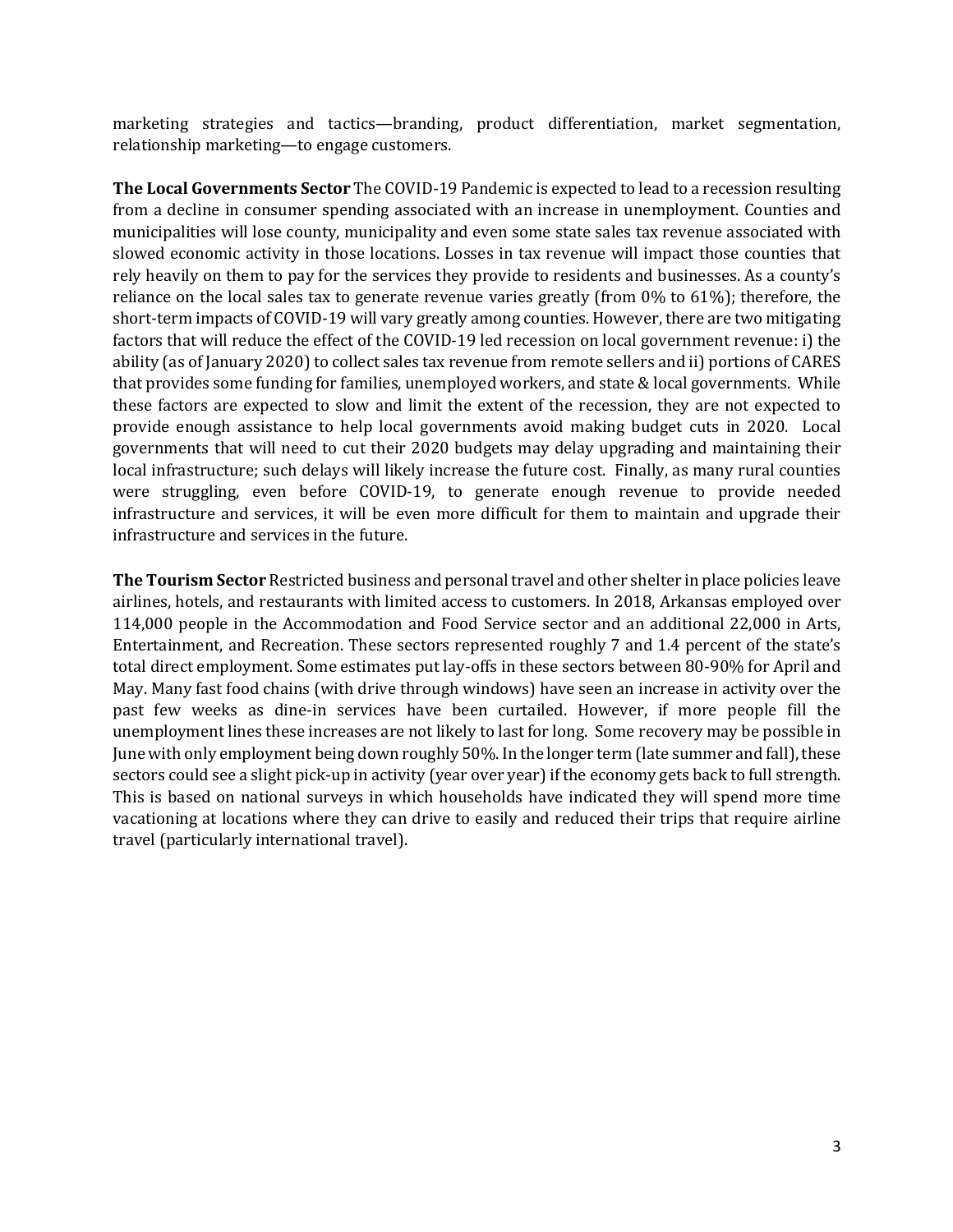marketing strategies and tactics—branding, product differentiation, market segmentation, relationship marketing—to engage customers.

**The Local Governments Sector** The COVID-19 Pandemic is expected to lead to a recession resulting from a decline in consumer spending associated with an increase in unemployment. Counties and municipalities will lose county, municipality and even some state sales tax revenue associated with slowed economic activity in those locations. Losses in tax revenue will impact those counties that rely heavily on them to pay for the services they provide to residents and businesses. As a county's reliance on the local sales tax to generate revenue varies greatly (from  $0\%$  to  $61\%$ ); therefore, the short-term impacts of COVID-19 will vary greatly among counties. However, there are two mitigating factors that will reduce the effect of the COVID-19 led recession on local government revenue: i) the ability (as of January 2020) to collect sales tax revenue from remote sellers and ii) portions of CARES that provides some funding for families, unemployed workers, and state  $&$  local governments. While these factors are expected to slow and limit the extent of the recession, they are not expected to provide enough assistance to help local governments avoid making budget cuts in 2020. Local governments that will need to cut their 2020 budgets may delay upgrading and maintaining their local infrastructure; such delays will likely increase the future cost. Finally, as many rural counties were struggling, even before COVID-19, to generate enough revenue to provide needed infrastructure and services, it will be even more difficult for them to maintain and upgrade their infrastructure and services in the future.

**The Tourism Sector** Restricted business and personal travel and other shelter in place policies leave airlines, hotels, and restaurants with limited access to customers. In 2018, Arkansas employed over 114,000 people in the Accommodation and Food Service sector and an additional 22,000 in Arts, Entertainment, and Recreation. These sectors represented roughly 7 and 1.4 percent of the state's total direct employment. Some estimates put lay-offs in these sectors between 80-90% for April and May. Many fast food chains (with drive through windows) have seen an increase in activity over the past few weeks as dine-in services have been curtailed. However, if more people fill the unemployment lines these increases are not likely to last for long. Some recovery may be possible in June with only employment being down roughly 50%. In the longer term (late summer and fall), these sectors could see a slight pick-up in activity (year over year) if the economy gets back to full strength. This is based on national surveys in which households have indicated they will spend more time vacationing at locations where they can drive to easily and reduced their trips that require airline travel (particularly international travel).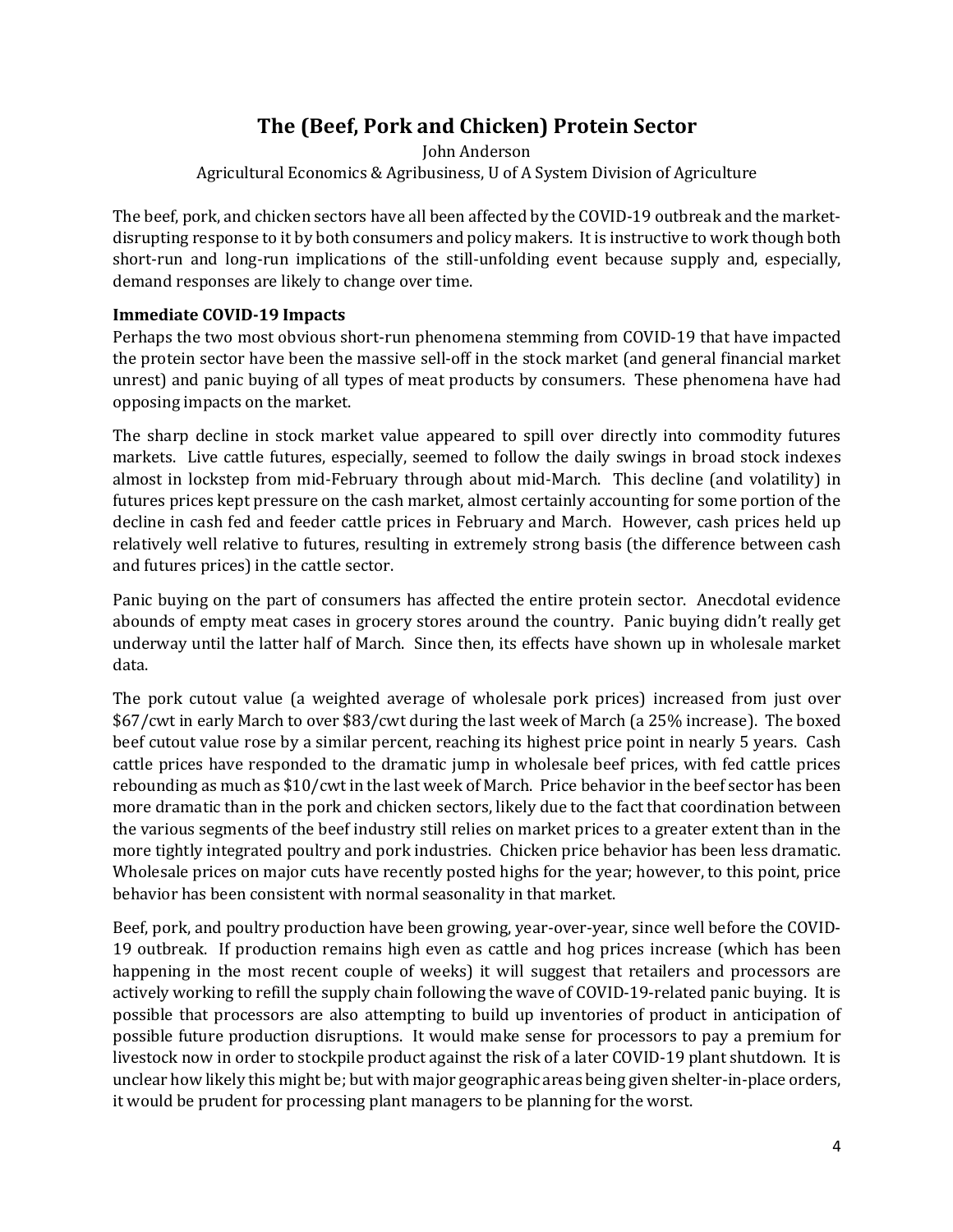# **The (Beef, Pork and Chicken) Protein Sector**

John Anderson Agricultural Economics & Agribusiness, U of A System Division of Agriculture

The beef, pork, and chicken sectors have all been affected by the COVID-19 outbreak and the marketdisrupting response to it by both consumers and policy makers. It is instructive to work though both short-run and long-run implications of the still-unfolding event because supply and, especially, demand responses are likely to change over time.

#### **Immediate COVID-19 Impacts**

Perhaps the two most obvious short-run phenomena stemming from COVID-19 that have impacted the protein sector have been the massive sell-off in the stock market (and general financial market unrest) and panic buying of all types of meat products by consumers. These phenomena have had opposing impacts on the market.

The sharp decline in stock market value appeared to spill over directly into commodity futures markets. Live cattle futures, especially, seemed to follow the daily swings in broad stock indexes almost in lockstep from mid-February through about mid-March. This decline (and volatility) in futures prices kept pressure on the cash market, almost certainly accounting for some portion of the decline in cash fed and feeder cattle prices in February and March. However, cash prices held up relatively well relative to futures, resulting in extremely strong basis (the difference between cash and futures prices) in the cattle sector.

Panic buying on the part of consumers has affected the entire protein sector. Anecdotal evidence abounds of empty meat cases in grocery stores around the country. Panic buying didn't really get underway until the latter half of March. Since then, its effects have shown up in wholesale market data. 

The pork cutout value (a weighted average of wholesale pork prices) increased from just over \$67/cwt in early March to over \$83/cwt during the last week of March (a 25% increase). The boxed beef cutout value rose by a similar percent, reaching its highest price point in nearly 5 years. Cash cattle prices have responded to the dramatic jump in wholesale beef prices, with fed cattle prices rebounding as much as \$10/cwt in the last week of March. Price behavior in the beef sector has been more dramatic than in the pork and chicken sectors, likely due to the fact that coordination between the various segments of the beef industry still relies on market prices to a greater extent than in the more tightly integrated poultry and pork industries. Chicken price behavior has been less dramatic. Wholesale prices on major cuts have recently posted highs for the year; however, to this point, price behavior has been consistent with normal seasonality in that market.

Beef, pork, and poultry production have been growing, year-over-year, since well before the COVID-19 outbreak. If production remains high even as cattle and hog prices increase (which has been happening in the most recent couple of weeks) it will suggest that retailers and processors are actively working to refill the supply chain following the wave of COVID-19-related panic buying. It is possible that processors are also attempting to build up inventories of product in anticipation of possible future production disruptions. It would make sense for processors to pay a premium for livestock now in order to stockpile product against the risk of a later COVID-19 plant shutdown. It is unclear how likely this might be; but with major geographic areas being given shelter-in-place orders, it would be prudent for processing plant managers to be planning for the worst.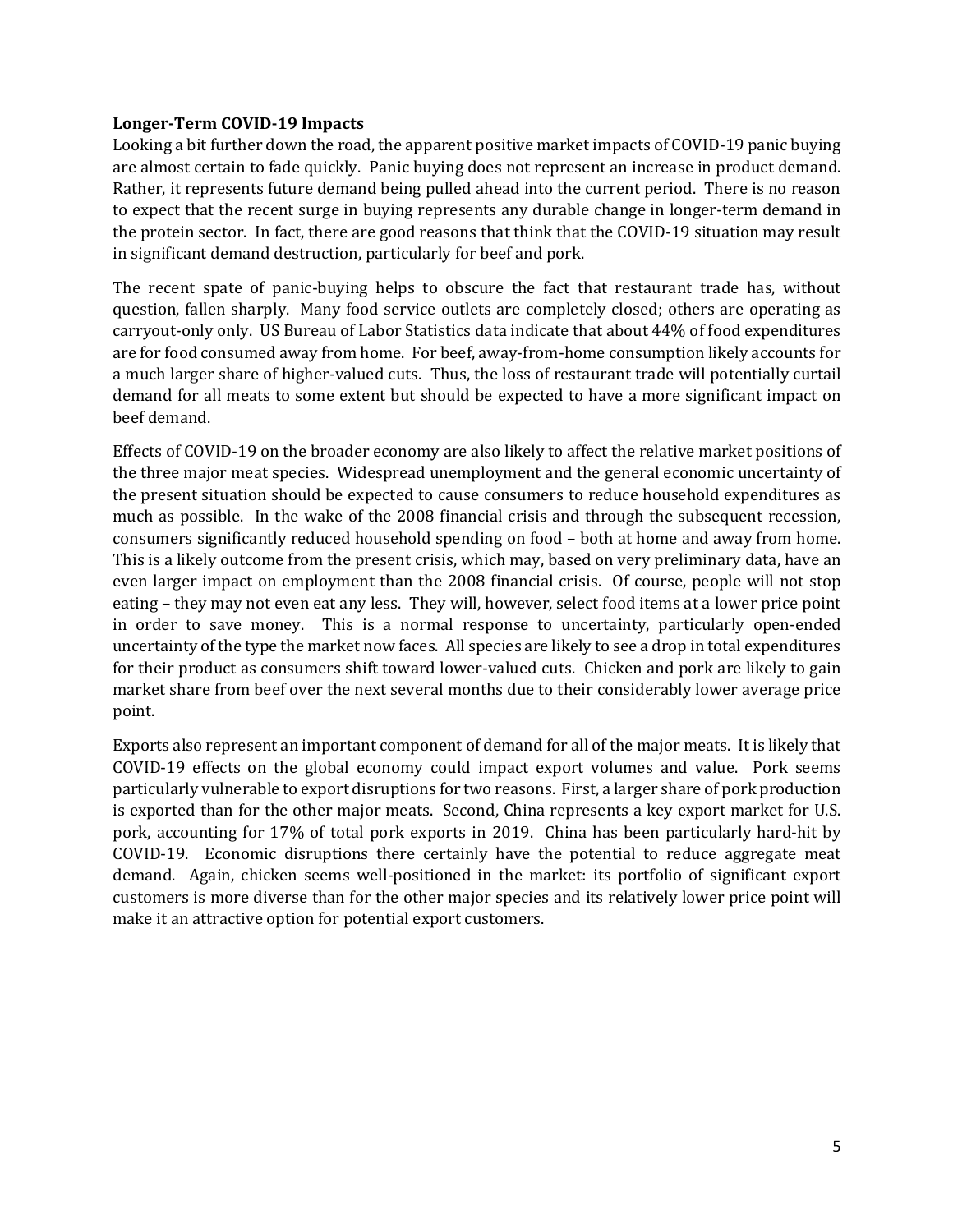#### **Longer-Term COVID-19 Impacts**

Looking a bit further down the road, the apparent positive market impacts of COVID-19 panic buying are almost certain to fade quickly. Panic buying does not represent an increase in product demand. Rather, it represents future demand being pulled ahead into the current period. There is no reason to expect that the recent surge in buying represents any durable change in longer-term demand in the protein sector. In fact, there are good reasons that think that the COVID-19 situation may result in significant demand destruction, particularly for beef and pork.

The recent spate of panic-buying helps to obscure the fact that restaurant trade has, without question, fallen sharply. Many food service outlets are completely closed; others are operating as carryout-only only. US Bureau of Labor Statistics data indicate that about 44% of food expenditures are for food consumed away from home. For beef, away-from-home consumption likely accounts for a much larger share of higher-valued cuts. Thus, the loss of restaurant trade will potentially curtail demand for all meats to some extent but should be expected to have a more significant impact on beef demand.

Effects of COVID-19 on the broader economy are also likely to affect the relative market positions of the three major meat species. Widespread unemployment and the general economic uncertainty of the present situation should be expected to cause consumers to reduce household expenditures as much as possible. In the wake of the 2008 financial crisis and through the subsequent recession, consumers significantly reduced household spending on food - both at home and away from home. This is a likely outcome from the present crisis, which may, based on very preliminary data, have an even larger impact on employment than the 2008 financial crisis. Of course, people will not stop eating – they may not even eat any less. They will, however, select food items at a lower price point in order to save money. This is a normal response to uncertainty, particularly open-ended uncertainty of the type the market now faces. All species are likely to see a drop in total expenditures for their product as consumers shift toward lower-valued cuts. Chicken and pork are likely to gain market share from beef over the next several months due to their considerably lower average price point. 

Exports also represent an important component of demand for all of the major meats. It is likely that COVID-19 effects on the global economy could impact export volumes and value. Pork seems particularly vulnerable to export disruptions for two reasons. First, a larger share of pork production is exported than for the other major meats. Second, China represents a key export market for U.S. pork, accounting for 17% of total pork exports in 2019. China has been particularly hard-hit by COVID-19. Economic disruptions there certainly have the potential to reduce aggregate meat demand. Again, chicken seems well-positioned in the market: its portfolio of significant export customers is more diverse than for the other major species and its relatively lower price point will make it an attractive option for potential export customers.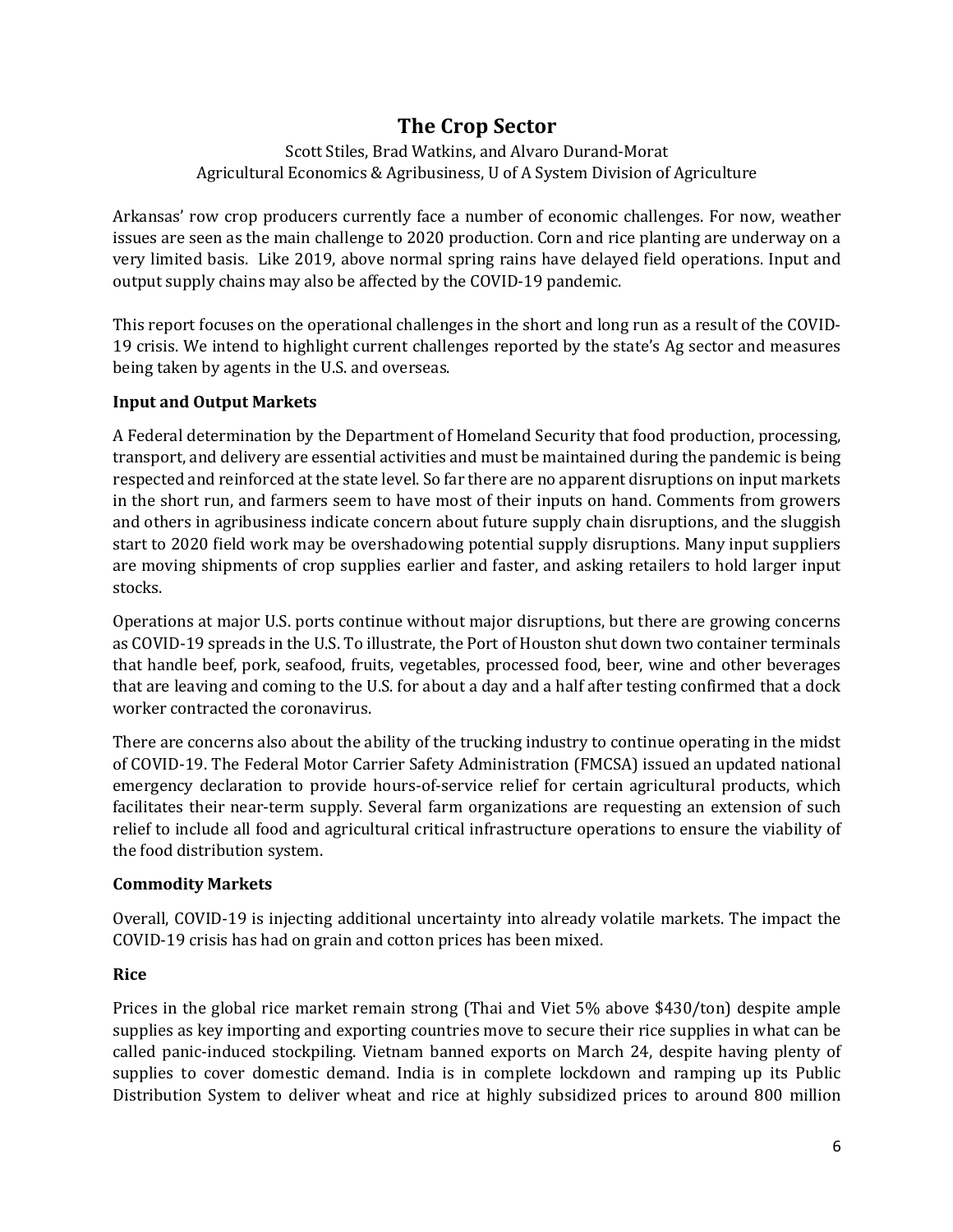## **The Crop Sector**

Scott Stiles, Brad Watkins, and Alvaro Durand-Morat Agricultural Economics & Agribusiness, U of A System Division of Agriculture

Arkansas' row crop producers currently face a number of economic challenges. For now, weather issues are seen as the main challenge to 2020 production. Corn and rice planting are underway on a very limited basis. Like 2019, above normal spring rains have delayed field operations. Input and output supply chains may also be affected by the COVID-19 pandemic.

This report focuses on the operational challenges in the short and long run as a result of the COVID-19 crisis. We intend to highlight current challenges reported by the state's Ag sector and measures being taken by agents in the U.S. and overseas.

#### **Input and Output Markets**

A Federal determination by the Department of Homeland Security that food production, processing, transport, and delivery are essential activities and must be maintained during the pandemic is being respected and reinforced at the state level. So far there are no apparent disruptions on input markets in the short run, and farmers seem to have most of their inputs on hand. Comments from growers and others in agribusiness indicate concern about future supply chain disruptions, and the sluggish start to 2020 field work may be overshadowing potential supply disruptions. Many input suppliers are moving shipments of crop supplies earlier and faster, and asking retailers to hold larger input stocks. 

Operations at major U.S. ports continue without major disruptions, but there are growing concerns as COVID-19 spreads in the U.S. To illustrate, the Port of Houston shut down two container terminals that handle beef, pork, seafood, fruits, vegetables, processed food, beer, wine and other beverages that are leaving and coming to the U.S. for about a day and a half after testing confirmed that a dock worker contracted the coronavirus.

There are concerns also about the ability of the trucking industry to continue operating in the midst of COVID-19. The Federal Motor Carrier Safety Administration (FMCSA) issued an updated national emergency declaration to provide hours-of-service relief for certain agricultural products, which facilitates their near-term supply. Several farm organizations are requesting an extension of such relief to include all food and agricultural critical infrastructure operations to ensure the viability of the food distribution system.

#### **Commodity Markets**

Overall, COVID-19 is injecting additional uncertainty into already volatile markets. The impact the COVID-19 crisis has had on grain and cotton prices has been mixed.

## **Rice**

Prices in the global rice market remain strong (Thai and Viet  $5\%$  above \$430/ton) despite ample supplies as key importing and exporting countries move to secure their rice supplies in what can be called panic-induced stockpiling. Vietnam banned exports on March 24, despite having plenty of supplies to cover domestic demand. India is in complete lockdown and ramping up its Public Distribution System to deliver wheat and rice at highly subsidized prices to around 800 million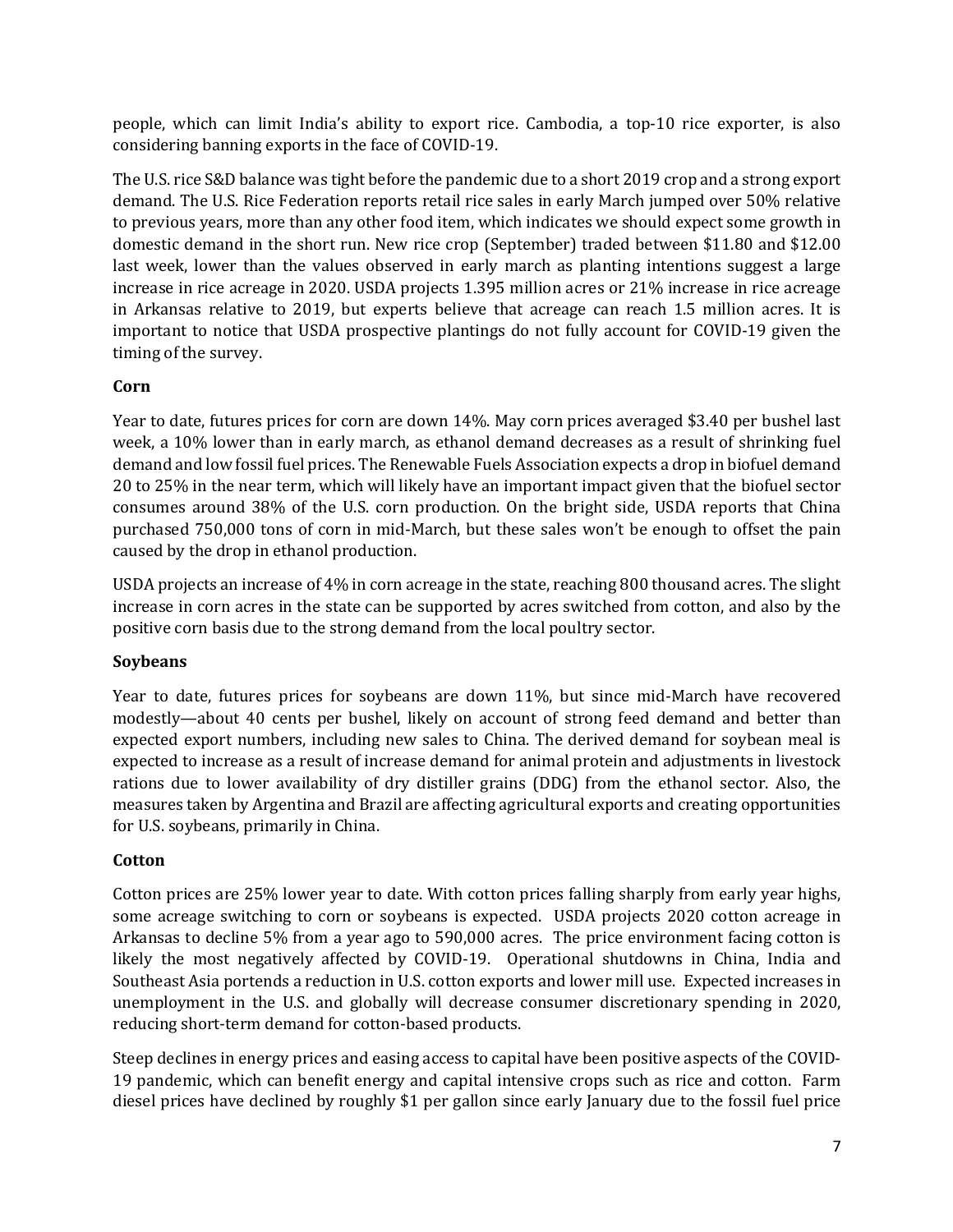people, which can limit India's ability to export rice. Cambodia, a top-10 rice exporter, is also considering banning exports in the face of COVID-19.

The U.S. rice S&D balance was tight before the pandemic due to a short 2019 crop and a strong export demand. The U.S. Rice Federation reports retail rice sales in early March jumped over 50% relative to previous years, more than any other food item, which indicates we should expect some growth in domestic demand in the short run. New rice crop (September) traded between \$11.80 and \$12.00 last week, lower than the values observed in early march as planting intentions suggest a large increase in rice acreage in 2020. USDA projects  $1.395$  million acres or  $21\%$  increase in rice acreage in Arkansas relative to 2019, but experts believe that acreage can reach 1.5 million acres. It is important to notice that USDA prospective plantings do not fully account for COVID-19 given the timing of the survey.

#### **Corn**

Year to date, futures prices for corn are down 14%. May corn prices averaged \$3.40 per bushel last week, a 10% lower than in early march, as ethanol demand decreases as a result of shrinking fuel demand and low fossil fuel prices. The Renewable Fuels Association expects a drop in biofuel demand 20 to 25% in the near term, which will likely have an important impact given that the biofuel sector consumes around 38% of the U.S. corn production. On the bright side, USDA reports that China purchased 750,000 tons of corn in mid-March, but these sales won't be enough to offset the pain caused by the drop in ethanol production.

USDA projects an increase of 4% in corn acreage in the state, reaching 800 thousand acres. The slight increase in corn acres in the state can be supported by acres switched from cotton, and also by the positive corn basis due to the strong demand from the local poultry sector.

## **Soybeans**

Year to date, futures prices for soybeans are down 11%, but since mid-March have recovered modestly—about 40 cents per bushel, likely on account of strong feed demand and better than expected export numbers, including new sales to China. The derived demand for soybean meal is expected to increase as a result of increase demand for animal protein and adjustments in livestock rations due to lower availability of dry distiller grains (DDG) from the ethanol sector. Also, the measures taken by Argentina and Brazil are affecting agricultural exports and creating opportunities for U.S. soybeans, primarily in China.

## **Cotton**

Cotton prices are 25% lower year to date. With cotton prices falling sharply from early year highs, some acreage switching to corn or soybeans is expected. USDA projects 2020 cotton acreage in Arkansas to decline 5% from a year ago to 590,000 acres. The price environment facing cotton is likely the most negatively affected by COVID-19. Operational shutdowns in China, India and Southeast Asia portends a reduction in U.S. cotton exports and lower mill use. Expected increases in unemployment in the U.S. and globally will decrease consumer discretionary spending in 2020, reducing short-term demand for cotton-based products.

Steep declines in energy prices and easing access to capital have been positive aspects of the COVID-19 pandemic, which can benefit energy and capital intensive crops such as rice and cotton. Farm diesel prices have declined by roughly \$1 per gallon since early January due to the fossil fuel price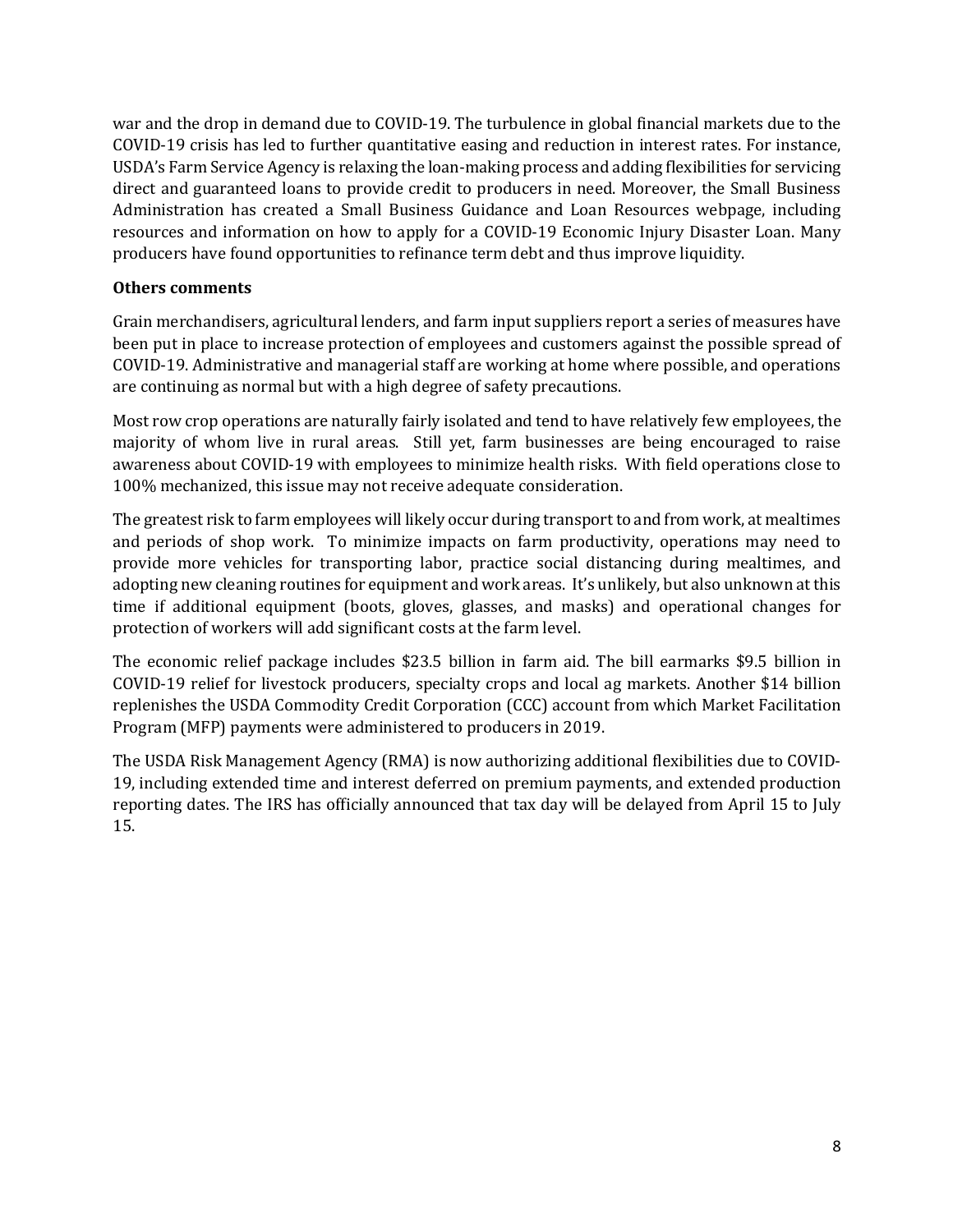war and the drop in demand due to COVID-19. The turbulence in global financial markets due to the COVID-19 crisis has led to further quantitative easing and reduction in interest rates. For instance, USDA's Farm Service Agency is relaxing the loan-making process and adding flexibilities for servicing direct and guaranteed loans to provide credit to producers in need. Moreover, the Small Business Administration has created a Small Business Guidance and Loan Resources webpage, including resources and information on how to apply for a COVID-19 Economic Injury Disaster Loan. Many producers have found opportunities to refinance term debt and thus improve liquidity.

#### **Others comments**

Grain merchandisers, agricultural lenders, and farm input suppliers report a series of measures have been put in place to increase protection of employees and customers against the possible spread of COVID-19. Administrative and managerial staff are working at home where possible, and operations are continuing as normal but with a high degree of safety precautions.

Most row crop operations are naturally fairly isolated and tend to have relatively few employees, the majority of whom live in rural areas. Still yet, farm businesses are being encouraged to raise awareness about COVID-19 with employees to minimize health risks. With field operations close to 100% mechanized, this issue may not receive adequate consideration.

The greatest risk to farm employees will likely occur during transport to and from work, at mealtimes and periods of shop work. To minimize impacts on farm productivity, operations may need to provide more vehicles for transporting labor, practice social distancing during mealtimes, and adopting new cleaning routines for equipment and work areas. It's unlikely, but also unknown at this time if additional equipment (boots, gloves, glasses, and masks) and operational changes for protection of workers will add significant costs at the farm level.

The economic relief package includes \$23.5 billion in farm aid. The bill earmarks \$9.5 billion in COVID-19 relief for livestock producers, specialty crops and local ag markets. Another \$14 billion replenishes the USDA Commodity Credit Corporation (CCC) account from which Market Facilitation Program (MFP) payments were administered to producers in 2019.

The USDA Risk Management Agency (RMA) is now authorizing additional flexibilities due to COVID-19, including extended time and interest deferred on premium payments, and extended production reporting dates. The IRS has officially announced that tax day will be delayed from April 15 to July 15.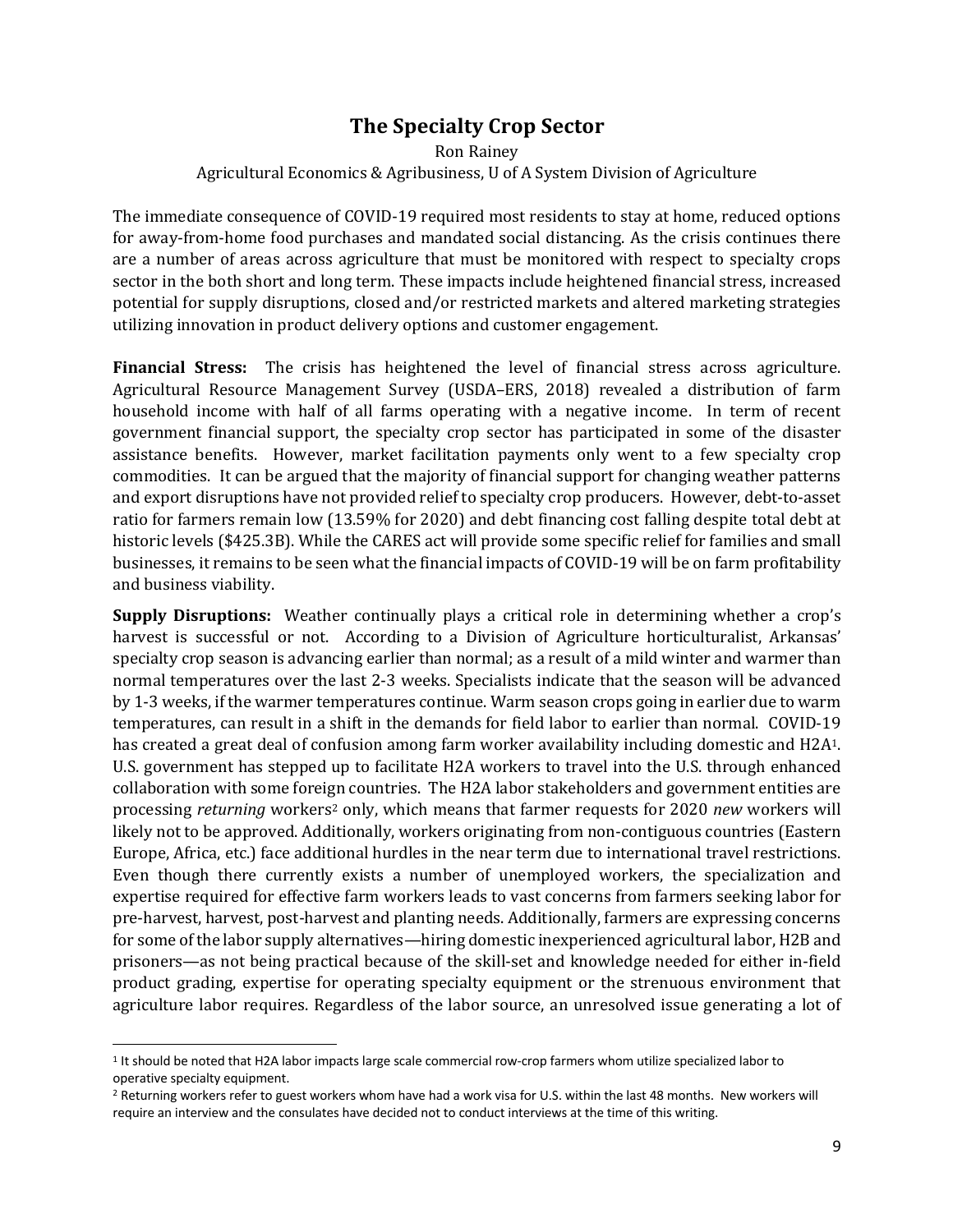## **The Specialty Crop Sector**

Ron Rainey Agricultural Economics & Agribusiness, U of A System Division of Agriculture

The immediate consequence of COVID-19 required most residents to stay at home, reduced options for away-from-home food purchases and mandated social distancing. As the crisis continues there are a number of areas across agriculture that must be monitored with respect to specialty crops sector in the both short and long term. These impacts include heightened financial stress, increased potential for supply disruptions, closed and/or restricted markets and altered marketing strategies utilizing innovation in product delivery options and customer engagement.

**Financial Stress:** The crisis has heightened the level of financial stress across agriculture. Agricultural Resource Management Survey (USDA–ERS, 2018) revealed a distribution of farm household income with half of all farms operating with a negative income. In term of recent government financial support, the specialty crop sector has participated in some of the disaster assistance benefits. However, market facilitation payments only went to a few specialty crop commodities. It can be argued that the majority of financial support for changing weather patterns and export disruptions have not provided relief to specialty crop producers. However, debt-to-asset ratio for farmers remain low (13.59% for 2020) and debt financing cost falling despite total debt at historic levels (\$425.3B). While the CARES act will provide some specific relief for families and small businesses, it remains to be seen what the financial impacts of COVID-19 will be on farm profitability and business viability.

**Supply Disruptions:** Weather continually plays a critical role in determining whether a crop's harvest is successful or not. According to a Division of Agriculture horticulturalist, Arkansas' specialty crop season is advancing earlier than normal; as a result of a mild winter and warmer than normal temperatures over the last 2-3 weeks. Specialists indicate that the season will be advanced by 1-3 weeks, if the warmer temperatures continue. Warm season crops going in earlier due to warm temperatures, can result in a shift in the demands for field labor to earlier than normal. COVID-19 has created a great deal of confusion among farm worker availability including domestic and H2A1. U.S. government has stepped up to facilitate H2A workers to travel into the U.S. through enhanced collaboration with some foreign countries. The H2A labor stakeholders and government entities are processing *returning* workers<sup>2</sup> only, which means that farmer requests for 2020 *new* workers will likely not to be approved. Additionally, workers originating from non-contiguous countries (Eastern Europe, Africa, etc.) face additional hurdles in the near term due to international travel restrictions. Even though there currently exists a number of unemployed workers, the specialization and expertise required for effective farm workers leads to vast concerns from farmers seeking labor for pre-harvest, harvest, post-harvest and planting needs. Additionally, farmers are expressing concerns for some of the labor supply alternatives—hiring domestic inexperienced agricultural labor, H2B and prisoners—as not being practical because of the skill-set and knowledge needed for either in-field product grading, expertise for operating specialty equipment or the strenuous environment that agriculture labor requires. Regardless of the labor source, an unresolved issue generating a lot of

<sup>1</sup> It should be noted that H2A labor impacts large scale commercial row-crop farmers whom utilize specialized labor to operative specialty equipment.

<sup>&</sup>lt;sup>2</sup> Returning workers refer to guest workers whom have had a work visa for U.S. within the last 48 months. New workers will require an interview and the consulates have decided not to conduct interviews at the time of this writing.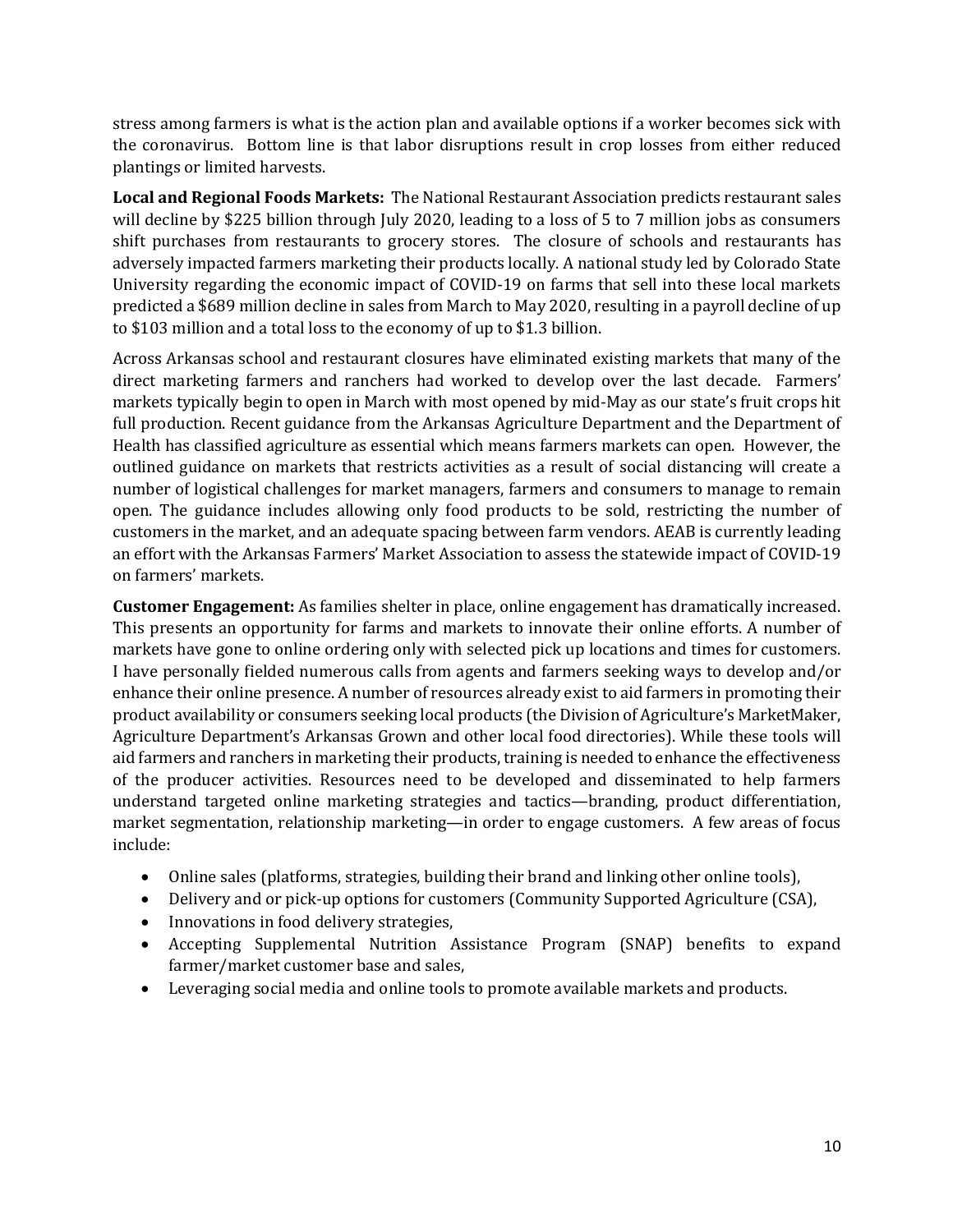stress among farmers is what is the action plan and available options if a worker becomes sick with the coronavirus. Bottom line is that labor disruptions result in crop losses from either reduced plantings or limited harvests.

**Local and Regional Foods Markets:** The National Restaurant Association predicts restaurant sales will decline by \$225 billion through July 2020, leading to a loss of 5 to 7 million jobs as consumers shift purchases from restaurants to grocery stores. The closure of schools and restaurants has adversely impacted farmers marketing their products locally. A national study led by Colorado State University regarding the economic impact of COVID-19 on farms that sell into these local markets predicted a \$689 million decline in sales from March to May 2020, resulting in a payroll decline of up to \$103 million and a total loss to the economy of up to \$1.3 billion.

Across Arkansas school and restaurant closures have eliminated existing markets that many of the direct marketing farmers and ranchers had worked to develop over the last decade. Farmers' markets typically begin to open in March with most opened by mid-May as our state's fruit crops hit full production. Recent guidance from the Arkansas Agriculture Department and the Department of Health has classified agriculture as essential which means farmers markets can open. However, the outlined guidance on markets that restricts activities as a result of social distancing will create a number of logistical challenges for market managers, farmers and consumers to manage to remain open. The guidance includes allowing only food products to be sold, restricting the number of customers in the market, and an adequate spacing between farm vendors. AEAB is currently leading an effort with the Arkansas Farmers' Market Association to assess the statewide impact of COVID-19 on farmers' markets.

**Customer Engagement:** As families shelter in place, online engagement has dramatically increased. This presents an opportunity for farms and markets to innovate their online efforts. A number of markets have gone to online ordering only with selected pick up locations and times for customers. I have personally fielded numerous calls from agents and farmers seeking ways to develop and/or enhance their online presence. A number of resources already exist to aid farmers in promoting their product availability or consumers seeking local products (the Division of Agriculture's MarketMaker, Agriculture Department's Arkansas Grown and other local food directories). While these tools will aid farmers and ranchers in marketing their products, training is needed to enhance the effectiveness of the producer activities. Resources need to be developed and disseminated to help farmers understand targeted online marketing strategies and tactics—branding, product differentiation, market segmentation, relationship marketing—in order to engage customers. A few areas of focus include:

- Online sales (platforms, strategies, building their brand and linking other online tools),
- Delivery and or pick-up options for customers (Community Supported Agriculture (CSA),
- Innovations in food delivery strategies,
- Accepting Supplemental Nutrition Assistance Program (SNAP) benefits to expand farmer/market customer base and sales,
- $\bullet$  Leveraging social media and online tools to promote available markets and products.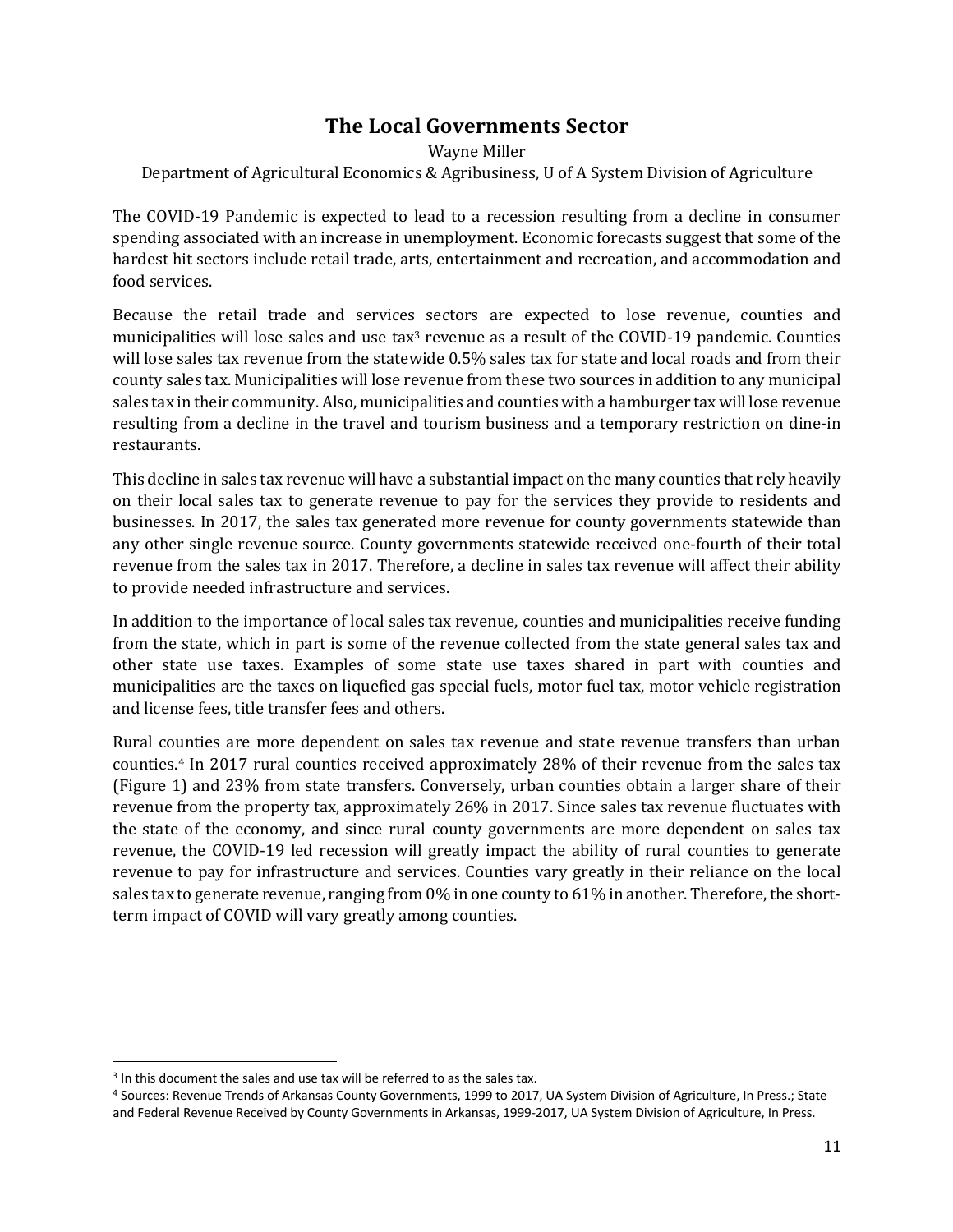## **The Local Governments Sector**

#### Wayne Miller Department of Agricultural Economics & Agribusiness, U of A System Division of Agriculture

The COVID-19 Pandemic is expected to lead to a recession resulting from a decline in consumer spending associated with an increase in unemployment. Economic forecasts suggest that some of the hardest hit sectors include retail trade, arts, entertainment and recreation, and accommodation and food services.

Because the retail trade and services sectors are expected to lose revenue, counties and municipalities will lose sales and use  $\text{tax}^3$  revenue as a result of the COVID-19 pandemic. Counties will lose sales tax revenue from the statewide 0.5% sales tax for state and local roads and from their county sales tax. Municipalities will lose revenue from these two sources in addition to any municipal sales tax in their community. Also, municipalities and counties with a hamburger tax will lose revenue resulting from a decline in the travel and tourism business and a temporary restriction on dine-in restaurants.

This decline in sales tax revenue will have a substantial impact on the many counties that rely heavily on their local sales tax to generate revenue to pay for the services they provide to residents and businesses. In 2017, the sales tax generated more revenue for county governments statewide than any other single revenue source. County governments statewide received one-fourth of their total revenue from the sales tax in 2017. Therefore, a decline in sales tax revenue will affect their ability to provide needed infrastructure and services.

In addition to the importance of local sales tax revenue, counties and municipalities receive funding from the state, which in part is some of the revenue collected from the state general sales tax and other state use taxes. Examples of some state use taxes shared in part with counties and municipalities are the taxes on liquefied gas special fuels, motor fuel tax, motor vehicle registration and license fees, title transfer fees and others.

Rural counties are more dependent on sales tax revenue and state revenue transfers than urban counties.<sup>4</sup> In 2017 rural counties received approximately 28% of their revenue from the sales tax (Figure 1) and 23% from state transfers. Conversely, urban counties obtain a larger share of their revenue from the property tax, approximately 26% in 2017. Since sales tax revenue fluctuates with the state of the economy, and since rural county governments are more dependent on sales tax revenue, the COVID-19 led recession will greatly impact the ability of rural counties to generate revenue to pay for infrastructure and services. Counties vary greatly in their reliance on the local sales tax to generate revenue, ranging from  $0\%$  in one county to 61% in another. Therefore, the shortterm impact of COVID will vary greatly among counties.

<sup>&</sup>lt;sup>3</sup> In this document the sales and use tax will be referred to as the sales tax.

<sup>4</sup> Sources: Revenue Trends of Arkansas County Governments, 1999 to 2017, UA System Division of Agriculture, In Press.; State and Federal Revenue Received by County Governments in Arkansas, 1999-2017, UA System Division of Agriculture, In Press.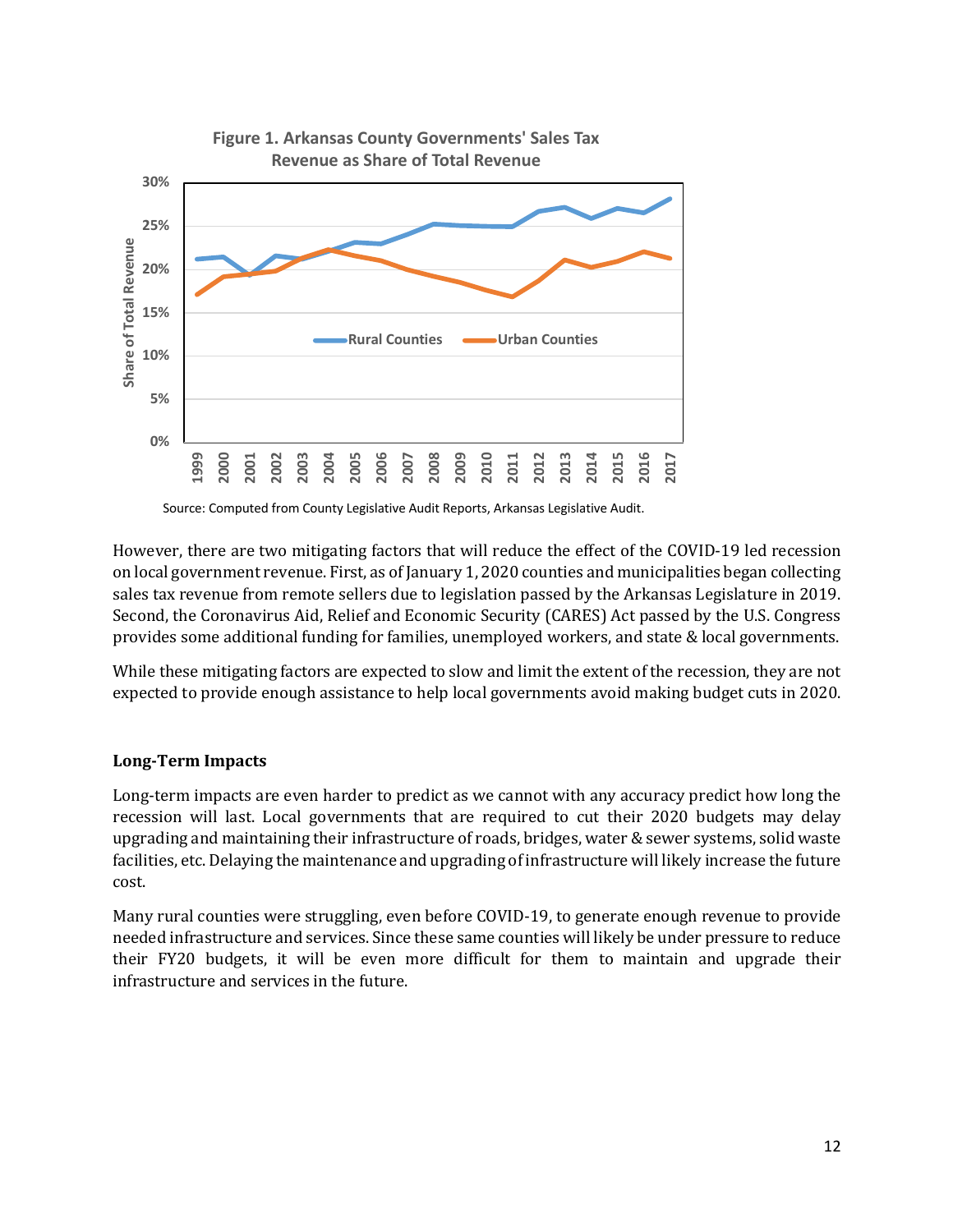

**Figure 1. Arkansas County Governments' Sales Tax** 

Source: Computed from County Legislative Audit Reports, Arkansas Legislative Audit.

However, there are two mitigating factors that will reduce the effect of the COVID-19 led recession on local government revenue. First, as of January 1, 2020 counties and municipalities began collecting sales tax revenue from remote sellers due to legislation passed by the Arkansas Legislature in 2019. Second, the Coronavirus Aid, Relief and Economic Security (CARES) Act passed by the U.S. Congress provides some additional funding for families, unemployed workers, and state & local governments.

While these mitigating factors are expected to slow and limit the extent of the recession, they are not expected to provide enough assistance to help local governments avoid making budget cuts in 2020.

#### **Long-Term Impacts**

Long-term impacts are even harder to predict as we cannot with any accuracy predict how long the recession will last. Local governments that are required to cut their 2020 budgets may delay upgrading and maintaining their infrastructure of roads, bridges, water & sewer systems, solid waste facilities, etc. Delaying the maintenance and upgrading of infrastructure will likely increase the future cost. 

Many rural counties were struggling, even before COVID-19, to generate enough revenue to provide needed infrastructure and services. Since these same counties will likely be under pressure to reduce their FY20 budgets, it will be even more difficult for them to maintain and upgrade their infrastructure and services in the future.